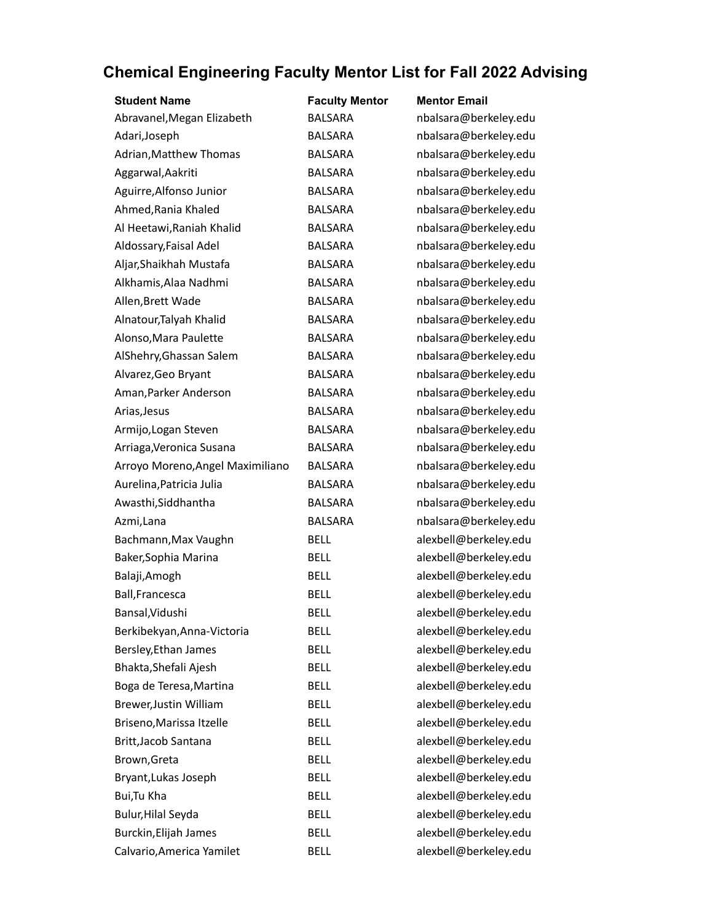| <b>Student Name</b>              | <b>Faculty Mentor</b> | <b>Mentor Email</b>   |
|----------------------------------|-----------------------|-----------------------|
| Abravanel, Megan Elizabeth       | <b>BALSARA</b>        | nbalsara@berkeley.edu |
| Adari, Joseph                    | <b>BALSARA</b>        | nbalsara@berkeley.edu |
| Adrian, Matthew Thomas           | <b>BALSARA</b>        | nbalsara@berkeley.edu |
| Aggarwal, Aakriti                | <b>BALSARA</b>        | nbalsara@berkeley.edu |
| Aguirre, Alfonso Junior          | <b>BALSARA</b>        | nbalsara@berkeley.edu |
| Ahmed, Rania Khaled              | <b>BALSARA</b>        | nbalsara@berkeley.edu |
| Al Heetawi, Raniah Khalid        | <b>BALSARA</b>        | nbalsara@berkeley.edu |
| Aldossary, Faisal Adel           | <b>BALSARA</b>        | nbalsara@berkeley.edu |
| Aljar, Shaikhah Mustafa          | <b>BALSARA</b>        | nbalsara@berkeley.edu |
| Alkhamis, Alaa Nadhmi            | <b>BALSARA</b>        | nbalsara@berkeley.edu |
| Allen, Brett Wade                | <b>BALSARA</b>        | nbalsara@berkeley.edu |
| Alnatour, Talyah Khalid          | <b>BALSARA</b>        | nbalsara@berkeley.edu |
| Alonso, Mara Paulette            | <b>BALSARA</b>        | nbalsara@berkeley.edu |
| AlShehry, Ghassan Salem          | <b>BALSARA</b>        | nbalsara@berkeley.edu |
| Alvarez, Geo Bryant              | <b>BALSARA</b>        | nbalsara@berkeley.edu |
| Aman, Parker Anderson            | <b>BALSARA</b>        | nbalsara@berkeley.edu |
| Arias, Jesus                     | <b>BALSARA</b>        | nbalsara@berkeley.edu |
| Armijo, Logan Steven             | <b>BALSARA</b>        | nbalsara@berkeley.edu |
| Arriaga, Veronica Susana         | <b>BALSARA</b>        | nbalsara@berkeley.edu |
| Arroyo Moreno, Angel Maximiliano | <b>BALSARA</b>        | nbalsara@berkeley.edu |
| Aurelina, Patricia Julia         | <b>BALSARA</b>        | nbalsara@berkeley.edu |
| Awasthi, Siddhantha              | <b>BALSARA</b>        | nbalsara@berkeley.edu |
| Azmi, Lana                       | <b>BALSARA</b>        | nbalsara@berkeley.edu |
| Bachmann, Max Vaughn             | <b>BELL</b>           | alexbell@berkeley.edu |
| Baker, Sophia Marina             | <b>BELL</b>           | alexbell@berkeley.edu |
| Balaji, Amogh                    | <b>BELL</b>           | alexbell@berkeley.edu |
| Ball, Francesca                  | <b>BELL</b>           | alexbell@berkeley.edu |
| Bansal, Vidushi                  | <b>BELL</b>           | alexbell@berkeley.edu |
| Berkibekyan, Anna-Victoria       | <b>BELL</b>           | alexbell@berkeley.edu |
| Bersley, Ethan James             | <b>BELL</b>           | alexbell@berkeley.edu |
| Bhakta, Shefali Ajesh            | <b>BELL</b>           | alexbell@berkeley.edu |
| Boga de Teresa, Martina          | <b>BELL</b>           | alexbell@berkeley.edu |
| Brewer, Justin William           | <b>BELL</b>           | alexbell@berkeley.edu |
| Briseno, Marissa Itzelle         | <b>BELL</b>           | alexbell@berkeley.edu |
| Britt, Jacob Santana             | <b>BELL</b>           | alexbell@berkeley.edu |
| Brown, Greta                     | <b>BELL</b>           | alexbell@berkeley.edu |
| Bryant, Lukas Joseph             | <b>BELL</b>           | alexbell@berkeley.edu |
| Bui, Tu Kha                      | <b>BELL</b>           | alexbell@berkeley.edu |
| <b>Bulur, Hilal Seyda</b>        | <b>BELL</b>           | alexbell@berkeley.edu |
| Burckin, Elijah James            | <b>BELL</b>           | alexbell@berkeley.edu |
| Calvario, America Yamilet        | <b>BELL</b>           | alexbell@berkeley.edu |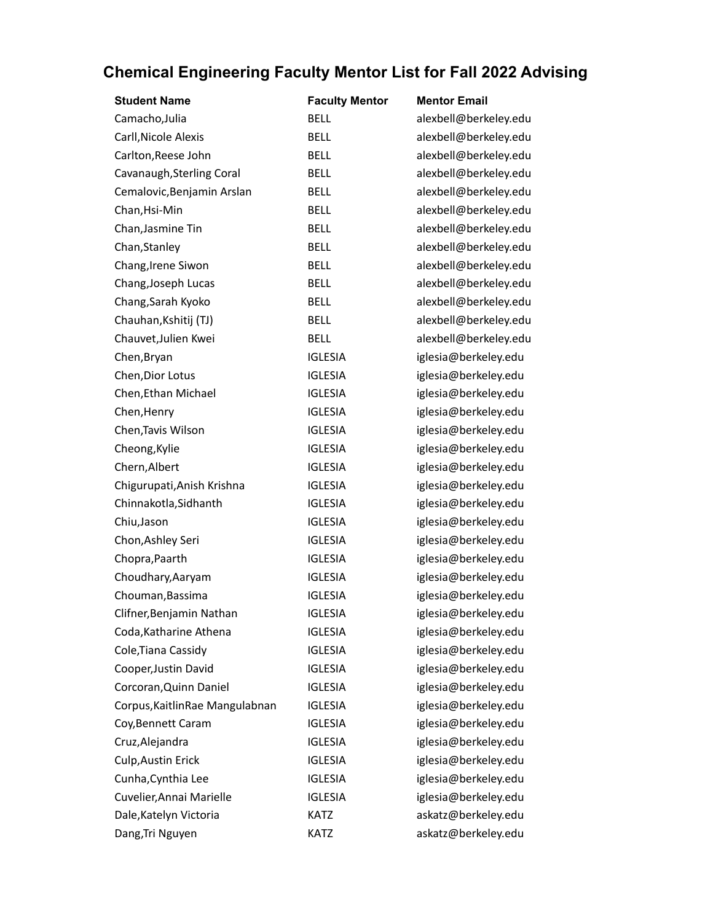| <b>Student Name</b>             | <b>Faculty Mentor</b> | <b>Mentor Email</b>   |
|---------------------------------|-----------------------|-----------------------|
| Camacho, Julia                  | <b>BELL</b>           | alexbell@berkeley.edu |
| Carll, Nicole Alexis            | <b>BELL</b>           | alexbell@berkeley.edu |
| Carlton, Reese John             | <b>BELL</b>           | alexbell@berkeley.edu |
| Cavanaugh, Sterling Coral       | <b>BELL</b>           | alexbell@berkeley.edu |
| Cemalovic, Benjamin Arslan      | <b>BELL</b>           | alexbell@berkeley.edu |
| Chan, Hsi-Min                   | <b>BELL</b>           | alexbell@berkeley.edu |
| Chan, Jasmine Tin               | <b>BELL</b>           | alexbell@berkeley.edu |
| Chan, Stanley                   | <b>BELL</b>           | alexbell@berkeley.edu |
| Chang, Irene Siwon              | <b>BELL</b>           | alexbell@berkeley.edu |
| Chang, Joseph Lucas             | <b>BELL</b>           | alexbell@berkeley.edu |
| Chang, Sarah Kyoko              | <b>BELL</b>           | alexbell@berkeley.edu |
| Chauhan, Kshitij (TJ)           | <b>BELL</b>           | alexbell@berkeley.edu |
| Chauvet, Julien Kwei            | <b>BELL</b>           | alexbell@berkeley.edu |
| Chen, Bryan                     | <b>IGLESIA</b>        | iglesia@berkeley.edu  |
| Chen, Dior Lotus                | <b>IGLESIA</b>        | iglesia@berkeley.edu  |
| Chen, Ethan Michael             | <b>IGLESIA</b>        | iglesia@berkeley.edu  |
| Chen, Henry                     | <b>IGLESIA</b>        | iglesia@berkeley.edu  |
| Chen, Tavis Wilson              | <b>IGLESIA</b>        | iglesia@berkeley.edu  |
| Cheong, Kylie                   | <b>IGLESIA</b>        | iglesia@berkeley.edu  |
| Chern, Albert                   | <b>IGLESIA</b>        | iglesia@berkeley.edu  |
| Chigurupati, Anish Krishna      | <b>IGLESIA</b>        | iglesia@berkeley.edu  |
| Chinnakotla, Sidhanth           | <b>IGLESIA</b>        | iglesia@berkeley.edu  |
| Chiu, Jason                     | <b>IGLESIA</b>        | iglesia@berkeley.edu  |
| Chon, Ashley Seri               | <b>IGLESIA</b>        | iglesia@berkeley.edu  |
| Chopra, Paarth                  | <b>IGLESIA</b>        | iglesia@berkeley.edu  |
| Choudhary, Aaryam               | <b>IGLESIA</b>        | iglesia@berkeley.edu  |
| Chouman, Bassima                | <b>IGLESIA</b>        | iglesia@berkeley.edu  |
| Clifner, Benjamin Nathan        | IGI FSIA              | iglesia@berkeley.edu  |
| Coda, Katharine Athena          | <b>IGLESIA</b>        | iglesia@berkeley.edu  |
| Cole, Tiana Cassidy             | <b>IGLESIA</b>        | iglesia@berkeley.edu  |
| Cooper, Justin David            | <b>IGLESIA</b>        | iglesia@berkeley.edu  |
| Corcoran, Quinn Daniel          | <b>IGLESIA</b>        | iglesia@berkeley.edu  |
| Corpus, Kaitlin Rae Mangulabnan | <b>IGLESIA</b>        | iglesia@berkeley.edu  |
| Coy, Bennett Caram              | <b>IGLESIA</b>        | iglesia@berkeley.edu  |
| Cruz, Alejandra                 | <b>IGLESIA</b>        | iglesia@berkeley.edu  |
| Culp, Austin Erick              | <b>IGLESIA</b>        | iglesia@berkeley.edu  |
| Cunha, Cynthia Lee              | <b>IGLESIA</b>        | iglesia@berkeley.edu  |
| Cuvelier, Annai Marielle        | <b>IGLESIA</b>        | iglesia@berkeley.edu  |
| Dale, Katelyn Victoria          | <b>KATZ</b>           | askatz@berkeley.edu   |
| Dang, Tri Nguyen                | <b>KATZ</b>           | askatz@berkeley.edu   |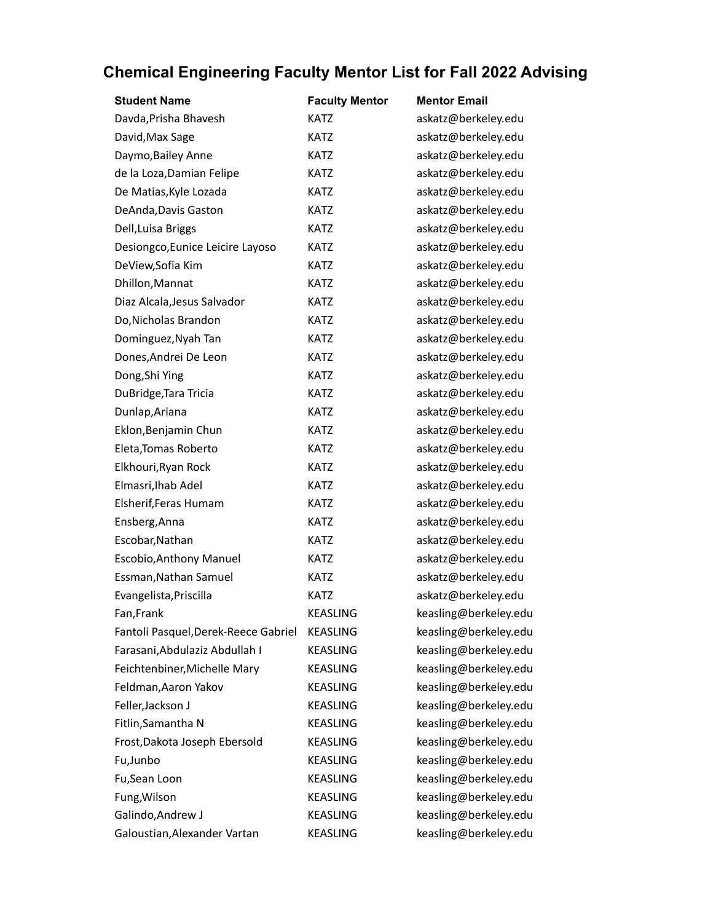| <b>Student Name</b>                  | <b>Faculty Mentor</b> | <b>Mentor Email</b>   |
|--------------------------------------|-----------------------|-----------------------|
| Davda, Prisha Bhavesh                | <b>KATZ</b>           | askatz@berkeley.edu   |
| David, Max Sage                      | <b>KATZ</b>           | askatz@berkeley.edu   |
| Daymo, Bailey Anne                   | <b>KATZ</b>           | askatz@berkeley.edu   |
| de la Loza, Damian Felipe            | <b>KATZ</b>           | askatz@berkeley.edu   |
| De Matias, Kyle Lozada               | <b>KATZ</b>           | askatz@berkeley.edu   |
| DeAnda, Davis Gaston                 | <b>KATZ</b>           | askatz@berkeley.edu   |
| Dell, Luisa Briggs                   | <b>KATZ</b>           | askatz@berkeley.edu   |
| Desiongco, Eunice Leicire Layoso     | <b>KATZ</b>           | askatz@berkeley.edu   |
| DeView, Sofia Kim                    | <b>KATZ</b>           | askatz@berkeley.edu   |
| Dhillon, Mannat                      | <b>KATZ</b>           | askatz@berkeley.edu   |
| Diaz Alcala, Jesus Salvador          | <b>KATZ</b>           | askatz@berkeley.edu   |
| Do, Nicholas Brandon                 | <b>KATZ</b>           | askatz@berkeley.edu   |
| Dominguez, Nyah Tan                  | <b>KATZ</b>           | askatz@berkeley.edu   |
| Dones, Andrei De Leon                | <b>KATZ</b>           | askatz@berkeley.edu   |
| Dong, Shi Ying                       | <b>KATZ</b>           | askatz@berkeley.edu   |
| DuBridge, Tara Tricia                | <b>KATZ</b>           | askatz@berkeley.edu   |
| Dunlap, Ariana                       | <b>KATZ</b>           | askatz@berkeley.edu   |
| Eklon, Benjamin Chun                 | <b>KATZ</b>           | askatz@berkeley.edu   |
| Eleta, Tomas Roberto                 | <b>KATZ</b>           | askatz@berkeley.edu   |
| Elkhouri, Ryan Rock                  | <b>KATZ</b>           | askatz@berkeley.edu   |
| Elmasri, Ihab Adel                   | <b>KATZ</b>           | askatz@berkeley.edu   |
| Elsherif, Feras Humam                | <b>KATZ</b>           | askatz@berkeley.edu   |
| Ensberg, Anna                        | <b>KATZ</b>           | askatz@berkeley.edu   |
| Escobar, Nathan                      | <b>KATZ</b>           | askatz@berkeley.edu   |
| Escobio, Anthony Manuel              | <b>KATZ</b>           | askatz@berkeley.edu   |
| Essman, Nathan Samuel                | <b>KATZ</b>           | askatz@berkeley.edu   |
| Evangelista, Priscilla               | <b>KATZ</b>           | askatz@berkeley.edu   |
| Fan, Frank                           | <b>KEASLING</b>       | keasling@berkeley.edu |
| Fantoli Pasquel, Derek-Reece Gabriel | <b>KEASLING</b>       | keasling@berkeley.edu |
| Farasani, Abdulaziz Abdullah I       | <b>KEASLING</b>       | keasling@berkeley.edu |
| Feichtenbiner, Michelle Mary         | <b>KEASLING</b>       | keasling@berkeley.edu |
| Feldman, Aaron Yakov                 | <b>KEASLING</b>       | keasling@berkeley.edu |
| Feller, Jackson J                    | <b>KEASLING</b>       | keasling@berkeley.edu |
| Fitlin, Samantha N                   | <b>KEASLING</b>       | keasling@berkeley.edu |
| Frost, Dakota Joseph Ebersold        | <b>KEASLING</b>       | keasling@berkeley.edu |
| Fu, Junbo                            | <b>KEASLING</b>       | keasling@berkeley.edu |
| Fu, Sean Loon                        | <b>KEASLING</b>       | keasling@berkeley.edu |
| Fung, Wilson                         | <b>KEASLING</b>       | keasling@berkeley.edu |
| Galindo, Andrew J                    | <b>KEASLING</b>       | keasling@berkeley.edu |
| Galoustian, Alexander Vartan         | KEASLING              | keasling@berkeley.edu |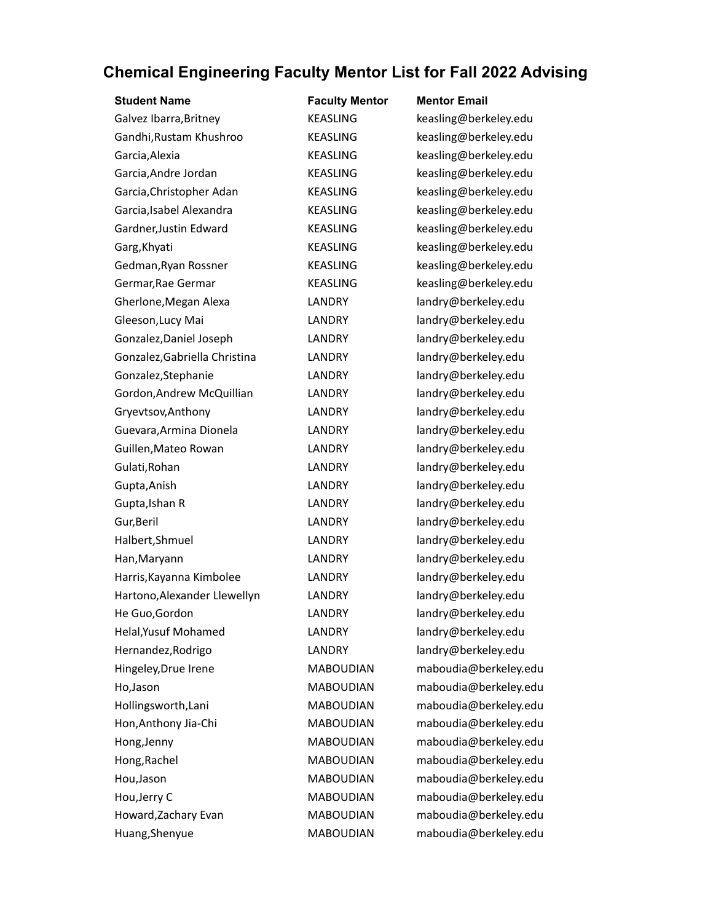| <b>Student Name</b>           | <b>Faculty Mentor</b> | <b>Mentor Email</b>   |
|-------------------------------|-----------------------|-----------------------|
| Galvez Ibarra, Britney        | <b>KEASLING</b>       | keasling@berkeley.edu |
| Gandhi, Rustam Khushroo       | <b>KEASLING</b>       | keasling@berkeley.edu |
| Garcia, Alexia                | <b>KEASLING</b>       | keasling@berkeley.edu |
| Garcia, Andre Jordan          | <b>KEASLING</b>       | keasling@berkeley.edu |
| Garcia, Christopher Adan      | <b>KEASLING</b>       | keasling@berkeley.edu |
| Garcia, Isabel Alexandra      | <b>KEASLING</b>       | keasling@berkeley.edu |
| Gardner, Justin Edward        | <b>KEASLING</b>       | keasling@berkeley.edu |
| Garg, Khyati                  | <b>KEASLING</b>       | keasling@berkeley.edu |
| Gedman, Ryan Rossner          | <b>KEASLING</b>       | keasling@berkeley.edu |
| Germar, Rae Germar            | <b>KEASLING</b>       | keasling@berkeley.edu |
| Gherlone, Megan Alexa         | LANDRY                | landry@berkeley.edu   |
| Gleeson, Lucy Mai             | LANDRY                | landry@berkeley.edu   |
| Gonzalez, Daniel Joseph       | <b>LANDRY</b>         | landry@berkeley.edu   |
| Gonzalez, Gabriella Christina | LANDRY                | landry@berkeley.edu   |
| Gonzalez, Stephanie           | LANDRY                | landry@berkeley.edu   |
| Gordon, Andrew McQuillian     | LANDRY                | landry@berkeley.edu   |
| Gryevtsov, Anthony            | <b>LANDRY</b>         | landry@berkeley.edu   |
| Guevara, Armina Dionela       | LANDRY                | landry@berkeley.edu   |
| Guillen, Mateo Rowan          | LANDRY                | landry@berkeley.edu   |
| Gulati, Rohan                 | LANDRY                | landry@berkeley.edu   |
| Gupta, Anish                  | LANDRY                | landry@berkeley.edu   |
| Gupta, Ishan R                | LANDRY                | landry@berkeley.edu   |
| Gur, Beril                    | <b>LANDRY</b>         | landry@berkeley.edu   |
| Halbert, Shmuel               | LANDRY                | landry@berkeley.edu   |
| Han, Maryann                  | LANDRY                | landry@berkeley.edu   |
| Harris, Kayanna Kimbolee      | LANDRY                | landry@berkeley.edu   |
| Hartono, Alexander Llewellyn  | LANDRY                | landry@berkeley.edu   |
| He Guo, Gordon                | LANDRY                | landry@berkeley.edu   |
| Helal, Yusuf Mohamed          | LANDRY                | landry@berkeley.edu   |
| Hernandez, Rodrigo            | LANDRY                | landry@berkeley.edu   |
| Hingeley, Drue Irene          | <b>MABOUDIAN</b>      | maboudia@berkeley.edu |
| Ho, Jason                     | <b>MABOUDIAN</b>      | maboudia@berkeley.edu |
| Hollingsworth, Lani           | <b>MABOUDIAN</b>      | maboudia@berkeley.edu |
| Hon, Anthony Jia-Chi          | <b>MABOUDIAN</b>      | maboudia@berkeley.edu |
| Hong, Jenny                   | <b>MABOUDIAN</b>      | maboudia@berkeley.edu |
| Hong, Rachel                  | <b>MABOUDIAN</b>      | maboudia@berkeley.edu |
| Hou, Jason                    | <b>MABOUDIAN</b>      | maboudia@berkeley.edu |
| Hou, Jerry C                  | <b>MABOUDIAN</b>      | maboudia@berkeley.edu |
| Howard, Zachary Evan          | <b>MABOUDIAN</b>      | maboudia@berkeley.edu |
| Huang, Shenyue                | <b>MABOUDIAN</b>      | maboudia@berkeley.edu |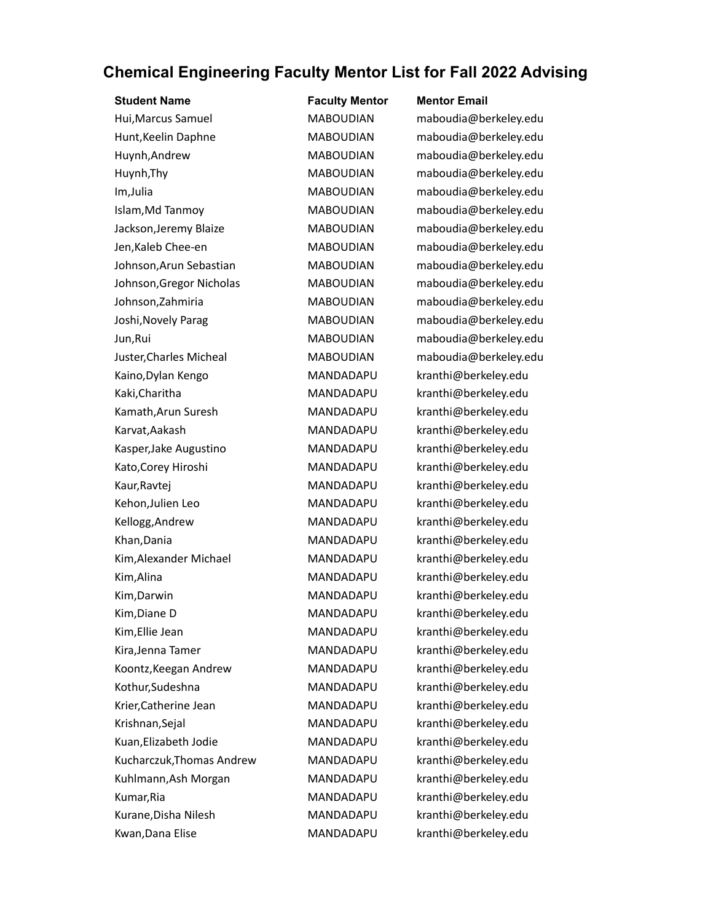| <b>Student Name</b>       | <b>Faculty Mentor</b> | <b>Mentor Email</b>   |
|---------------------------|-----------------------|-----------------------|
| Hui, Marcus Samuel        | <b>MABOUDIAN</b>      | maboudia@berkeley.edu |
| Hunt, Keelin Daphne       | <b>MABOUDIAN</b>      | maboudia@berkeley.edu |
| Huynh, Andrew             | <b>MABOUDIAN</b>      | maboudia@berkeley.edu |
| Huynh, Thy                | <b>MABOUDIAN</b>      | maboudia@berkeley.edu |
| Im, Julia                 | <b>MABOUDIAN</b>      | maboudia@berkeley.edu |
| Islam, Md Tanmoy          | <b>MABOUDIAN</b>      | maboudia@berkeley.edu |
| Jackson, Jeremy Blaize    | <b>MABOUDIAN</b>      | maboudia@berkeley.edu |
| Jen, Kaleb Chee-en        | <b>MABOUDIAN</b>      | maboudia@berkeley.edu |
| Johnson, Arun Sebastian   | <b>MABOUDIAN</b>      | maboudia@berkeley.edu |
| Johnson, Gregor Nicholas  | <b>MABOUDIAN</b>      | maboudia@berkeley.edu |
| Johnson, Zahmiria         | <b>MABOUDIAN</b>      | maboudia@berkeley.edu |
| Joshi, Novely Parag       | <b>MABOUDIAN</b>      | maboudia@berkeley.edu |
| Jun, Rui                  | <b>MABOUDIAN</b>      | maboudia@berkeley.edu |
| Juster, Charles Micheal   | <b>MABOUDIAN</b>      | maboudia@berkeley.edu |
| Kaino, Dylan Kengo        | MANDADAPU             | kranthi@berkeley.edu  |
| Kaki, Charitha            | MANDADAPU             | kranthi@berkeley.edu  |
| Kamath, Arun Suresh       | MANDADAPU             | kranthi@berkeley.edu  |
| Karvat, Aakash            | MANDADAPU             | kranthi@berkeley.edu  |
| Kasper, Jake Augustino    | MANDADAPU             | kranthi@berkeley.edu  |
| Kato, Corey Hiroshi       | MANDADAPU             | kranthi@berkeley.edu  |
| Kaur, Ravtej              | MANDADAPU             | kranthi@berkeley.edu  |
| Kehon, Julien Leo         | MANDADAPU             | kranthi@berkeley.edu  |
| Kellogg, Andrew           | MANDADAPU             | kranthi@berkeley.edu  |
| Khan, Dania               | MANDADAPU             | kranthi@berkeley.edu  |
| Kim, Alexander Michael    | MANDADAPU             | kranthi@berkeley.edu  |
| Kim, Alina                | MANDADAPU             | kranthi@berkeley.edu  |
| Kim, Darwin               | MANDADAPU             | kranthi@berkeley.edu  |
| Kim, Diane D              | MANDADAPU             | kranthi@berkeley.edu  |
| Kim, Ellie Jean           | MANDADAPU             | kranthi@berkeley.edu  |
| Kira, Jenna Tamer         | MANDADAPU             | kranthi@berkeley.edu  |
| Koontz, Keegan Andrew     | MANDADAPU             | kranthi@berkeley.edu  |
| Kothur, Sudeshna          | MANDADAPU             | kranthi@berkeley.edu  |
| Krier, Catherine Jean     | MANDADAPU             | kranthi@berkeley.edu  |
| Krishnan, Sejal           | MANDADAPU             | kranthi@berkeley.edu  |
| Kuan, Elizabeth Jodie     | MANDADAPU             | kranthi@berkeley.edu  |
| Kucharczuk, Thomas Andrew | MANDADAPU             | kranthi@berkeley.edu  |
| Kuhlmann, Ash Morgan      | MANDADAPU             | kranthi@berkeley.edu  |
| Kumar, Ria                | MANDADAPU             | kranthi@berkeley.edu  |
| Kurane, Disha Nilesh      | MANDADAPU             | kranthi@berkeley.edu  |
| Kwan, Dana Elise          | MANDADAPU             | kranthi@berkeley.edu  |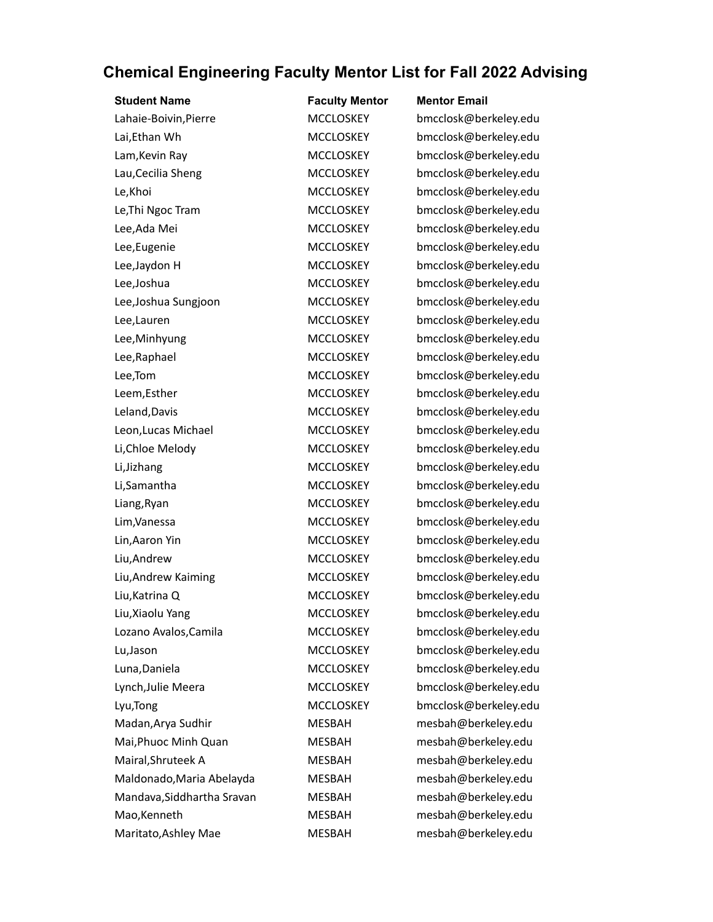| <b>Student Name</b>        | <b>Faculty Mentor</b> | <b>Mentor Email</b>   |
|----------------------------|-----------------------|-----------------------|
| Lahaie-Boivin, Pierre      | <b>MCCLOSKEY</b>      | bmcclosk@berkeley.edu |
| Lai, Ethan Wh              | <b>MCCLOSKEY</b>      | bmcclosk@berkeley.edu |
| Lam, Kevin Ray             | <b>MCCLOSKEY</b>      | bmcclosk@berkeley.edu |
| Lau, Cecilia Sheng         | <b>MCCLOSKEY</b>      | bmcclosk@berkeley.edu |
| Le, Khoi                   | <b>MCCLOSKEY</b>      | bmcclosk@berkeley.edu |
| Le, Thi Ngoc Tram          | <b>MCCLOSKEY</b>      | bmcclosk@berkeley.edu |
| Lee, Ada Mei               | <b>MCCLOSKEY</b>      | bmcclosk@berkeley.edu |
| Lee, Eugenie               | <b>MCCLOSKEY</b>      | bmcclosk@berkeley.edu |
| Lee, Jaydon H              | <b>MCCLOSKEY</b>      | bmcclosk@berkeley.edu |
| Lee, Joshua                | <b>MCCLOSKEY</b>      | bmcclosk@berkeley.edu |
| Lee, Joshua Sungjoon       | <b>MCCLOSKEY</b>      | bmcclosk@berkeley.edu |
| Lee, Lauren                | <b>MCCLOSKEY</b>      | bmcclosk@berkeley.edu |
| Lee, Minhyung              | <b>MCCLOSKEY</b>      | bmcclosk@berkeley.edu |
| Lee, Raphael               | <b>MCCLOSKEY</b>      | bmcclosk@berkeley.edu |
| Lee, Tom                   | <b>MCCLOSKEY</b>      | bmcclosk@berkeley.edu |
| Leem, Esther               | <b>MCCLOSKEY</b>      | bmcclosk@berkeley.edu |
| Leland, Davis              | <b>MCCLOSKEY</b>      | bmcclosk@berkeley.edu |
| Leon, Lucas Michael        | <b>MCCLOSKEY</b>      | bmcclosk@berkeley.edu |
| Li, Chloe Melody           | <b>MCCLOSKEY</b>      | bmcclosk@berkeley.edu |
| Li, Jizhang                | <b>MCCLOSKEY</b>      | bmcclosk@berkeley.edu |
| Li, Samantha               | <b>MCCLOSKEY</b>      | bmcclosk@berkeley.edu |
| Liang, Ryan                | <b>MCCLOSKEY</b>      | bmcclosk@berkeley.edu |
| Lim, Vanessa               | <b>MCCLOSKEY</b>      | bmcclosk@berkeley.edu |
| Lin, Aaron Yin             | <b>MCCLOSKEY</b>      | bmcclosk@berkeley.edu |
| Liu, Andrew                | <b>MCCLOSKEY</b>      | bmcclosk@berkeley.edu |
| Liu, Andrew Kaiming        | <b>MCCLOSKEY</b>      | bmcclosk@berkeley.edu |
| Liu, Katrina Q             | <b>MCCLOSKEY</b>      | bmcclosk@berkeley.edu |
| Liu, Xiaolu Yang           | <b>MCCLOSKEY</b>      | bmcclosk@berkeley.edu |
| Lozano Avalos, Camila      | <b>MCCLOSKEY</b>      | bmcclosk@berkeley.edu |
| Lu, Jason                  | <b>MCCLOSKEY</b>      | bmcclosk@berkeley.edu |
| Luna, Daniela              | <b>MCCLOSKEY</b>      | bmcclosk@berkeley.edu |
| Lynch, Julie Meera         | <b>MCCLOSKEY</b>      | bmcclosk@berkeley.edu |
| Lyu, Tong                  | <b>MCCLOSKEY</b>      | bmcclosk@berkeley.edu |
| Madan, Arya Sudhir         | <b>MESBAH</b>         | mesbah@berkeley.edu   |
| Mai, Phuoc Minh Quan       | MESBAH                | mesbah@berkeley.edu   |
| Mairal, Shruteek A         | <b>MESBAH</b>         | mesbah@berkeley.edu   |
| Maldonado, Maria Abelayda  | MESBAH                | mesbah@berkeley.edu   |
| Mandava, Siddhartha Sravan | <b>MESBAH</b>         | mesbah@berkeley.edu   |
| Mao, Kenneth               | <b>MESBAH</b>         | mesbah@berkeley.edu   |
| Maritato, Ashley Mae       | <b>MESBAH</b>         | mesbah@berkeley.edu   |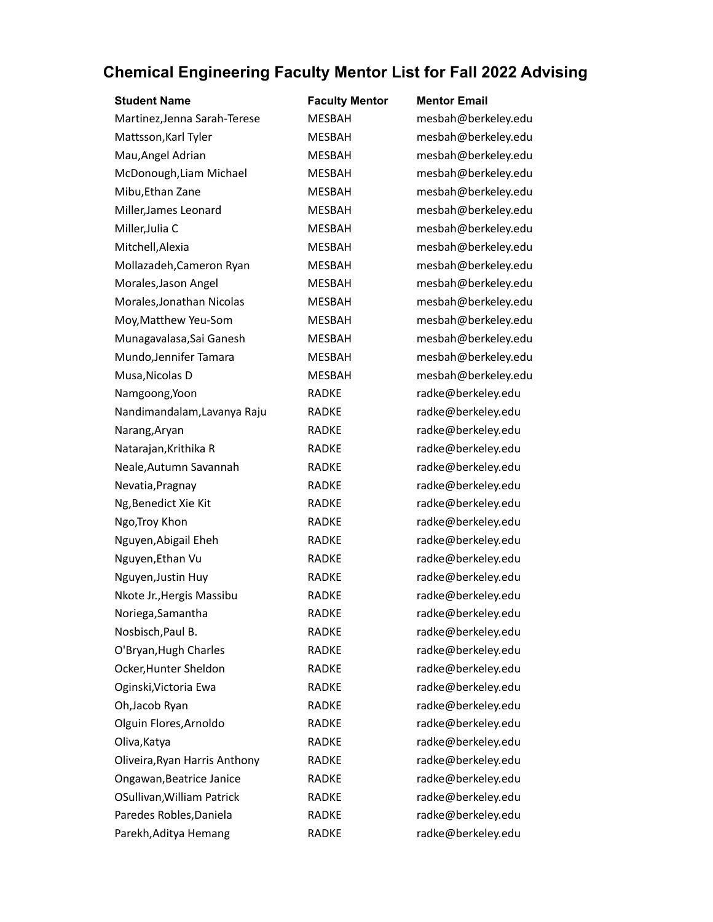| <b>Student Name</b>           | <b>Faculty Mentor</b> | <b>Mentor Email</b> |
|-------------------------------|-----------------------|---------------------|
| Martinez, Jenna Sarah-Terese  | <b>MESBAH</b>         | mesbah@berkeley.edu |
| Mattsson, Karl Tyler          | <b>MESBAH</b>         | mesbah@berkeley.edu |
| Mau, Angel Adrian             | <b>MESBAH</b>         | mesbah@berkeley.edu |
| McDonough, Liam Michael       | MESBAH                | mesbah@berkeley.edu |
| Mibu, Ethan Zane              | <b>MESBAH</b>         | mesbah@berkeley.edu |
| Miller, James Leonard         | <b>MESBAH</b>         | mesbah@berkeley.edu |
| Miller, Julia C               | <b>MESBAH</b>         | mesbah@berkeley.edu |
| Mitchell, Alexia              | <b>MESBAH</b>         | mesbah@berkeley.edu |
| Mollazadeh, Cameron Ryan      | MESBAH                | mesbah@berkeley.edu |
| Morales, Jason Angel          | <b>MESBAH</b>         | mesbah@berkeley.edu |
| Morales, Jonathan Nicolas     | <b>MESBAH</b>         | mesbah@berkeley.edu |
| Moy, Matthew Yeu-Som          | <b>MESBAH</b>         | mesbah@berkeley.edu |
| Munagavalasa, Sai Ganesh      | <b>MESBAH</b>         | mesbah@berkeley.edu |
| Mundo, Jennifer Tamara        | <b>MESBAH</b>         | mesbah@berkeley.edu |
| Musa, Nicolas D               | <b>MESBAH</b>         | mesbah@berkeley.edu |
| Namgoong, Yoon                | <b>RADKE</b>          | radke@berkeley.edu  |
| Nandimandalam, Lavanya Raju   | <b>RADKE</b>          | radke@berkeley.edu  |
| Narang, Aryan                 | <b>RADKE</b>          | radke@berkeley.edu  |
| Natarajan, Krithika R         | <b>RADKE</b>          | radke@berkeley.edu  |
| Neale, Autumn Savannah        | <b>RADKE</b>          | radke@berkeley.edu  |
| Nevatia, Pragnay              | <b>RADKE</b>          | radke@berkeley.edu  |
| Ng, Benedict Xie Kit          | <b>RADKE</b>          | radke@berkeley.edu  |
| Ngo, Troy Khon                | <b>RADKE</b>          | radke@berkeley.edu  |
| Nguyen, Abigail Eheh          | <b>RADKE</b>          | radke@berkeley.edu  |
| Nguyen, Ethan Vu              | <b>RADKE</b>          | radke@berkeley.edu  |
| Nguyen, Justin Huy            | <b>RADKE</b>          | radke@berkeley.edu  |
| Nkote Jr., Hergis Massibu     | <b>RADKE</b>          | radke@berkeley.edu  |
| Noriega, Samantha             | <b>RADKE</b>          | radke@berkeley.edu  |
| Nosbisch, Paul B.             | <b>RADKE</b>          | radke@berkeley.edu  |
| O'Bryan, Hugh Charles         | <b>RADKE</b>          | radke@berkeley.edu  |
| Ocker, Hunter Sheldon         | <b>RADKE</b>          | radke@berkeley.edu  |
| Oginski, Victoria Ewa         | <b>RADKE</b>          | radke@berkeley.edu  |
| Oh, Jacob Ryan                | <b>RADKE</b>          | radke@berkeley.edu  |
| Olguin Flores, Arnoldo        | <b>RADKE</b>          | radke@berkeley.edu  |
| Oliva, Katya                  | <b>RADKE</b>          | radke@berkeley.edu  |
| Oliveira, Ryan Harris Anthony | <b>RADKE</b>          | radke@berkeley.edu  |
| Ongawan, Beatrice Janice      | <b>RADKE</b>          | radke@berkeley.edu  |
| OSullivan, William Patrick    | <b>RADKE</b>          | radke@berkeley.edu  |
| Paredes Robles, Daniela       | <b>RADKE</b>          | radke@berkeley.edu  |
| Parekh, Aditya Hemang         | RADKE                 | radke@berkeley.edu  |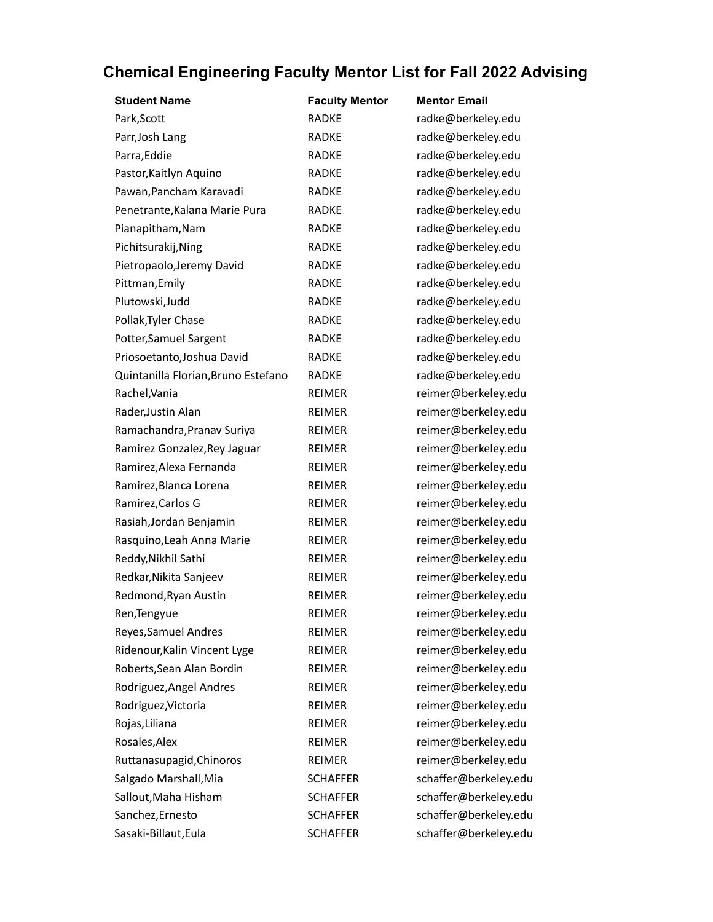| <b>Student Name</b>                 | <b>Faculty Mentor</b> | <b>Mentor Email</b>   |
|-------------------------------------|-----------------------|-----------------------|
| Park, Scott                         | <b>RADKE</b>          | radke@berkeley.edu    |
| Parr, Josh Lang                     | <b>RADKE</b>          | radke@berkeley.edu    |
| Parra, Eddie                        | <b>RADKE</b>          | radke@berkeley.edu    |
| Pastor, Kaitlyn Aquino              | <b>RADKE</b>          | radke@berkeley.edu    |
| Pawan, Pancham Karavadi             | <b>RADKE</b>          | radke@berkeley.edu    |
| Penetrante, Kalana Marie Pura       | <b>RADKE</b>          | radke@berkeley.edu    |
| Pianapitham, Nam                    | <b>RADKE</b>          | radke@berkeley.edu    |
| Pichitsurakij, Ning                 | <b>RADKE</b>          | radke@berkeley.edu    |
| Pietropaolo, Jeremy David           | <b>RADKE</b>          | radke@berkeley.edu    |
| Pittman, Emily                      | <b>RADKE</b>          | radke@berkeley.edu    |
| Plutowski, Judd                     | <b>RADKE</b>          | radke@berkeley.edu    |
| Pollak, Tyler Chase                 | <b>RADKE</b>          | radke@berkeley.edu    |
| Potter, Samuel Sargent              | <b>RADKE</b>          | radke@berkeley.edu    |
| Priosoetanto, Joshua David          | <b>RADKE</b>          | radke@berkeley.edu    |
| Quintanilla Florian, Bruno Estefano | <b>RADKE</b>          | radke@berkeley.edu    |
| Rachel, Vania                       | <b>REIMER</b>         | reimer@berkeley.edu   |
| Rader, Justin Alan                  | <b>REIMER</b>         | reimer@berkeley.edu   |
| Ramachandra, Pranav Suriya          | <b>REIMER</b>         | reimer@berkeley.edu   |
| Ramirez Gonzalez, Rey Jaguar        | REIMER                | reimer@berkeley.edu   |
| Ramirez, Alexa Fernanda             | REIMER                | reimer@berkeley.edu   |
| Ramirez, Blanca Lorena              | <b>REIMER</b>         | reimer@berkeley.edu   |
| Ramirez, Carlos G                   | <b>REIMER</b>         | reimer@berkeley.edu   |
| Rasiah, Jordan Benjamin             | <b>REIMER</b>         | reimer@berkeley.edu   |
| Rasquino, Leah Anna Marie           | <b>REIMER</b>         | reimer@berkeley.edu   |
| Reddy, Nikhil Sathi                 | REIMER                | reimer@berkeley.edu   |
| Redkar, Nikita Sanjeev              | <b>REIMER</b>         | reimer@berkeley.edu   |
| Redmond, Ryan Austin                | <b>REIMER</b>         | reimer@berkeley.edu   |
| Ren, Tengyue                        | REIMER                | reimer@berkeley.edu   |
| Reyes, Samuel Andres                | <b>REIMER</b>         | reimer@berkeley.edu   |
| Ridenour, Kalin Vincent Lyge        | REIMER                | reimer@berkeley.edu   |
| Roberts, Sean Alan Bordin           | REIMER                | reimer@berkeley.edu   |
| Rodriguez, Angel Andres             | <b>REIMER</b>         | reimer@berkeley.edu   |
| Rodriguez, Victoria                 | REIMER                | reimer@berkeley.edu   |
| Rojas, Liliana                      | <b>REIMER</b>         | reimer@berkeley.edu   |
| Rosales, Alex                       | <b>REIMER</b>         | reimer@berkeley.edu   |
| Ruttanasupagid, Chinoros            | REIMER                | reimer@berkeley.edu   |
| Salgado Marshall, Mia               | <b>SCHAFFER</b>       | schaffer@berkeley.edu |
| Sallout, Maha Hisham                | <b>SCHAFFER</b>       | schaffer@berkeley.edu |
| Sanchez, Ernesto                    | <b>SCHAFFER</b>       | schaffer@berkeley.edu |
| Sasaki-Billaut, Eula                | <b>SCHAFFER</b>       | schaffer@berkeley.edu |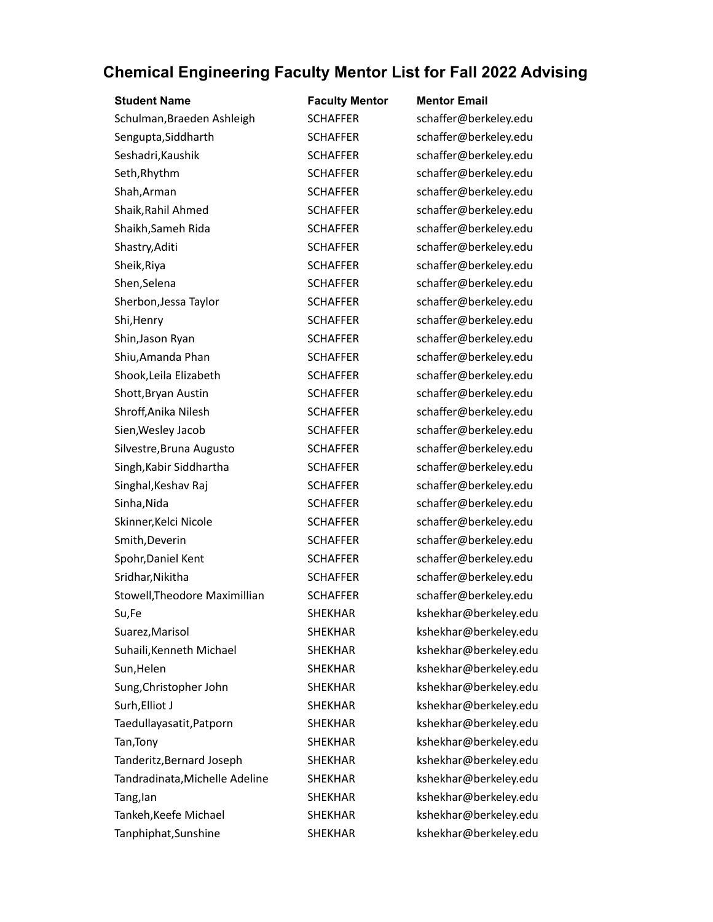| <b>Student Name</b>            | <b>Faculty Mentor</b> | <b>Mentor Email</b>   |
|--------------------------------|-----------------------|-----------------------|
| Schulman, Braeden Ashleigh     | <b>SCHAFFER</b>       | schaffer@berkeley.edu |
| Sengupta, Siddharth            | <b>SCHAFFER</b>       | schaffer@berkeley.edu |
| Seshadri, Kaushik              | <b>SCHAFFER</b>       | schaffer@berkeley.edu |
| Seth, Rhythm                   | <b>SCHAFFER</b>       | schaffer@berkeley.edu |
| Shah, Arman                    | <b>SCHAFFER</b>       | schaffer@berkeley.edu |
| Shaik, Rahil Ahmed             | <b>SCHAFFER</b>       | schaffer@berkeley.edu |
| Shaikh, Sameh Rida             | <b>SCHAFFER</b>       | schaffer@berkeley.edu |
| Shastry, Aditi                 | <b>SCHAFFER</b>       | schaffer@berkeley.edu |
| Sheik, Riya                    | <b>SCHAFFER</b>       | schaffer@berkeley.edu |
| Shen, Selena                   | <b>SCHAFFER</b>       | schaffer@berkeley.edu |
| Sherbon, Jessa Taylor          | <b>SCHAFFER</b>       | schaffer@berkeley.edu |
| Shi, Henry                     | <b>SCHAFFER</b>       | schaffer@berkeley.edu |
| Shin, Jason Ryan               | <b>SCHAFFER</b>       | schaffer@berkeley.edu |
| Shiu, Amanda Phan              | <b>SCHAFFER</b>       | schaffer@berkeley.edu |
| Shook, Leila Elizabeth         | <b>SCHAFFER</b>       | schaffer@berkeley.edu |
| Shott, Bryan Austin            | <b>SCHAFFER</b>       | schaffer@berkeley.edu |
| Shroff, Anika Nilesh           | <b>SCHAFFER</b>       | schaffer@berkeley.edu |
| Sien, Wesley Jacob             | <b>SCHAFFER</b>       | schaffer@berkeley.edu |
| Silvestre, Bruna Augusto       | <b>SCHAFFER</b>       | schaffer@berkeley.edu |
| Singh, Kabir Siddhartha        | <b>SCHAFFER</b>       | schaffer@berkeley.edu |
| Singhal, Keshav Raj            | <b>SCHAFFER</b>       | schaffer@berkeley.edu |
| Sinha, Nida                    | <b>SCHAFFER</b>       | schaffer@berkeley.edu |
| Skinner, Kelci Nicole          | <b>SCHAFFER</b>       | schaffer@berkeley.edu |
| Smith, Deverin                 | <b>SCHAFFER</b>       | schaffer@berkeley.edu |
| Spohr, Daniel Kent             | <b>SCHAFFER</b>       | schaffer@berkeley.edu |
| Sridhar, Nikitha               | <b>SCHAFFER</b>       | schaffer@berkeley.edu |
| Stowell, Theodore Maximillian  | <b>SCHAFFER</b>       | schaffer@berkeley.edu |
| Su,Fe                          | <b>SHEKHAR</b>        | kshekhar@berkeley.edu |
| Suarez, Marisol                | <b>SHEKHAR</b>        | kshekhar@berkeley.edu |
| Suhaili, Kenneth Michael       | <b>SHEKHAR</b>        | kshekhar@berkeley.edu |
| Sun, Helen                     | <b>SHEKHAR</b>        | kshekhar@berkeley.edu |
| Sung, Christopher John         | <b>SHEKHAR</b>        | kshekhar@berkeley.edu |
| Surh, Elliot J                 | <b>SHEKHAR</b>        | kshekhar@berkeley.edu |
| Taedullayasatit, Patporn       | <b>SHEKHAR</b>        | kshekhar@berkeley.edu |
| Tan, Tony                      | <b>SHEKHAR</b>        | kshekhar@berkeley.edu |
| Tanderitz, Bernard Joseph      | <b>SHEKHAR</b>        | kshekhar@berkeley.edu |
| Tandradinata, Michelle Adeline | <b>SHEKHAR</b>        | kshekhar@berkeley.edu |
| Tang, lan                      | <b>SHEKHAR</b>        | kshekhar@berkeley.edu |
| Tankeh, Keefe Michael          | <b>SHEKHAR</b>        | kshekhar@berkeley.edu |
| Tanphiphat, Sunshine           | <b>SHEKHAR</b>        | kshekhar@berkeley.edu |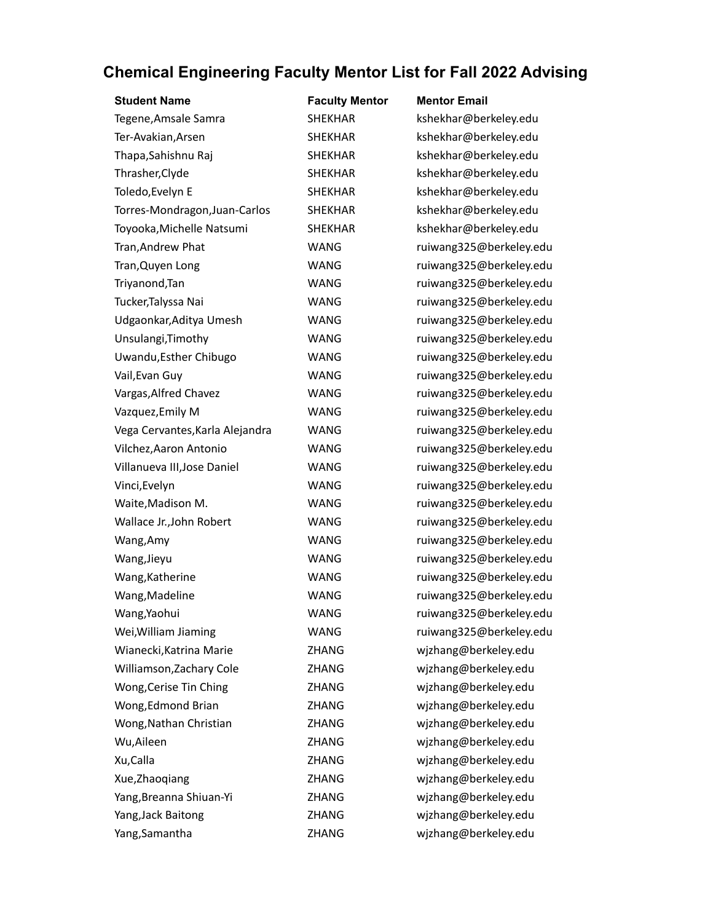| <b>Student Name</b>             | <b>Faculty Mentor</b> | <b>Mentor Email</b>     |
|---------------------------------|-----------------------|-------------------------|
| Tegene, Amsale Samra            | <b>SHEKHAR</b>        | kshekhar@berkeley.edu   |
| Ter-Avakian, Arsen              | <b>SHEKHAR</b>        | kshekhar@berkeley.edu   |
| Thapa, Sahishnu Raj             | <b>SHEKHAR</b>        | kshekhar@berkeley.edu   |
| Thrasher, Clyde                 | <b>SHEKHAR</b>        | kshekhar@berkeley.edu   |
| Toledo, Evelyn E                | <b>SHEKHAR</b>        | kshekhar@berkeley.edu   |
| Torres-Mondragon, Juan-Carlos   | <b>SHEKHAR</b>        | kshekhar@berkeley.edu   |
| Toyooka, Michelle Natsumi       | <b>SHEKHAR</b>        | kshekhar@berkeley.edu   |
| Tran, Andrew Phat               | <b>WANG</b>           | ruiwang325@berkeley.edu |
| Tran, Quyen Long                | WANG                  | ruiwang325@berkeley.edu |
| Triyanond, Tan                  | <b>WANG</b>           | ruiwang325@berkeley.edu |
| Tucker, Talyssa Nai             | <b>WANG</b>           | ruiwang325@berkeley.edu |
| Udgaonkar, Aditya Umesh         | WANG                  | ruiwang325@berkeley.edu |
| Unsulangi, Timothy              | WANG                  | ruiwang325@berkeley.edu |
| Uwandu, Esther Chibugo          | <b>WANG</b>           | ruiwang325@berkeley.edu |
| Vail, Evan Guy                  | <b>WANG</b>           | ruiwang325@berkeley.edu |
| Vargas, Alfred Chavez           | WANG                  | ruiwang325@berkeley.edu |
| Vazquez, Emily M                | <b>WANG</b>           | ruiwang325@berkeley.edu |
| Vega Cervantes, Karla Alejandra | <b>WANG</b>           | ruiwang325@berkeley.edu |
| Vilchez, Aaron Antonio          | WANG                  | ruiwang325@berkeley.edu |
| Villanueva III, Jose Daniel     | <b>WANG</b>           | ruiwang325@berkeley.edu |
| Vinci, Evelyn                   | <b>WANG</b>           | ruiwang325@berkeley.edu |
| Waite, Madison M.               | WANG                  | ruiwang325@berkeley.edu |
| Wallace Jr., John Robert        | <b>WANG</b>           | ruiwang325@berkeley.edu |
| Wang, Amy                       | <b>WANG</b>           | ruiwang325@berkeley.edu |
| Wang, Jieyu                     | <b>WANG</b>           | ruiwang325@berkeley.edu |
| Wang, Katherine                 | WANG                  | ruiwang325@berkeley.edu |
| Wang, Madeline                  | <b>WANG</b>           | ruiwang325@berkeley.edu |
| Wang, Yaohui                    | <b>WANG</b>           | ruiwang325@berkeley.edu |
| Wei, William Jiaming            | WANG                  | ruiwang325@berkeley.edu |
| Wianecki, Katrina Marie         | ZHANG                 | wjzhang@berkeley.edu    |
| Williamson, Zachary Cole        | ZHANG                 | wjzhang@berkeley.edu    |
| Wong, Cerise Tin Ching          | <b>ZHANG</b>          | wjzhang@berkeley.edu    |
| Wong, Edmond Brian              | ZHANG                 | wjzhang@berkeley.edu    |
| Wong, Nathan Christian          | ZHANG                 | wjzhang@berkeley.edu    |
| Wu, Aileen                      | ZHANG                 | wjzhang@berkeley.edu    |
| Xu, Calla                       | ZHANG                 | wjzhang@berkeley.edu    |
| Xue, Zhaoqiang                  | ZHANG                 | wjzhang@berkeley.edu    |
| Yang, Breanna Shiuan-Yi         | ZHANG                 | wjzhang@berkeley.edu    |
| Yang, Jack Baitong              | ZHANG                 | wjzhang@berkeley.edu    |
| Yang, Samantha                  | ZHANG                 | wjzhang@berkeley.edu    |